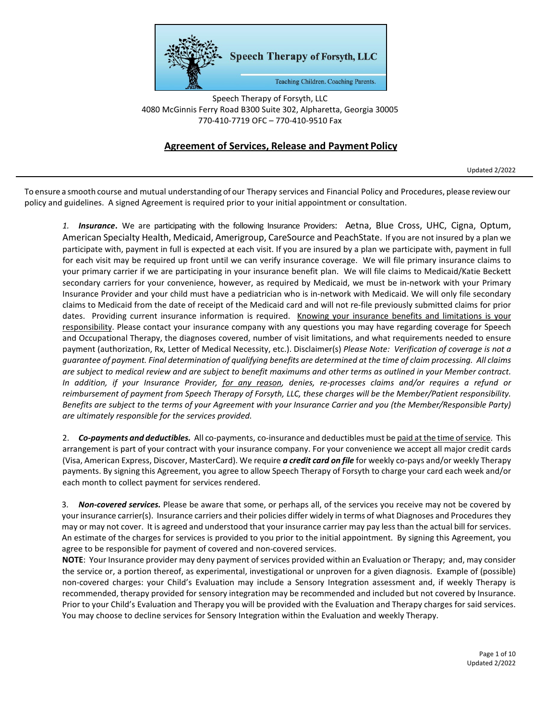

Speech Therapy of Forsyth, LLC 4080 McGinnis Ferry Road B300 Suite 302, Alpharetta, Georgia 30005 770-410-7719 OFC – 770-410-9510 Fax

## **Agreement of Services, Release and Payment Policy**

Updated 2/2022

To ensure a smooth course and mutual understanding of our Therapy services and Financial Policy and Procedures, please reviewour policy and guidelines. A signed Agreement is required prior to your initial appointment or consultation.

*1. Insurance***.** We are participating with the following Insurance Providers: Aetna, Blue Cross, UHC, Cigna, Optum, American Specialty Health, Medicaid, Amerigroup, CareSource and PeachState. If you are not insured by a plan we participate with, payment in full is expected at each visit. If you are insured by a plan we participate with, payment in full for each visit may be required up front until we can verify insurance coverage. We will file primary insurance claims to your primary carrier if we are participating in your insurance benefit plan. We will file claims to Medicaid/Katie Beckett secondary carriers for your convenience, however, as required by Medicaid, we must be in-network with your Primary Insurance Provider and your child must have a pediatrician who is in-network with Medicaid. We will only file secondary claims to Medicaid from the date of receipt of the Medicaid card and will not re-file previously submitted claims for prior dates. Providing current insurance information is required. Knowing your insurance benefits and limitations is your responsibility. Please contact your insurance company with any questions you may have regarding coverage for Speech and Occupational Therapy, the diagnoses covered, number of visit limitations, and what requirements needed to ensure payment (authorization, Rx, Letter of Medical Necessity, etc.). Disclaimer(s) *Please Note: Verification of coverage is not a guarantee of payment. Final determination of qualifying benefits are determined at the time of claim processing. All claims are subject to medical review and are subject to benefit maximums and other terms as outlined in your Member contract. In addition, if your Insurance Provider, for any reason, denies, re-processes claims and/or requires a refund or reimbursement of payment from Speech Therapy of Forsyth, LLC, these charges will be the Member/Patient responsibility. Benefits are subject to the terms of your Agreement with your Insurance Carrier and you (the Member/Responsible Party) are ultimately responsible for the services provided.*

2. *Co-payments and deductibles.* All co-payments, co-insurance and deductibles must be paid at the time ofservice. This arrangement is part of your contract with your insurance company. For your convenience we accept all major credit cards (Visa, American Express, Discover, MasterCard). We require *a credit card on file* for weekly co-pays and/or weekly Therapy payments. By signing this Agreement, you agree to allow Speech Therapy of Forsyth to charge your card each week and/or each month to collect payment for services rendered.

3. *Non-covered services.* Please be aware that some, or perhaps all, of the services you receive may not be covered by your insurance carrier(s). Insurance carriers and their policies differ widely in terms of what Diagnoses and Procedures they may or may not cover. It is agreed and understood that your insurance carrier may pay less than the actual bill for services. An estimate of the charges for services is provided to you prior to the initial appointment. By signing this Agreement, you agree to be responsible for payment of covered and non-covered services.

**NOTE**: Your Insurance provider may deny payment of services provided within an Evaluation or Therapy; and, may consider the service or, a portion thereof, as experimental, investigational or unproven for a given diagnosis. Example of (possible) non-covered charges: your Child's Evaluation may include a Sensory Integration assessment and, if weekly Therapy is recommended, therapy provided for sensory integration may be recommended and included but not covered by Insurance. Prior to your Child's Evaluation and Therapy you will be provided with the Evaluation and Therapy charges for said services. You may choose to decline services for Sensory Integration within the Evaluation and weekly Therapy.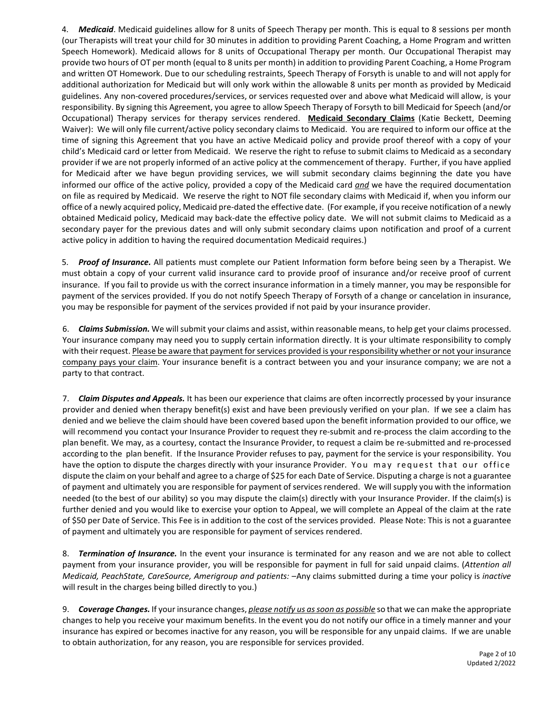4. *Medicaid*. Medicaid guidelines allow for 8 units of Speech Therapy per month. This is equal to 8 sessions per month (our Therapists will treat your child for 30 minutes in addition to providing Parent Coaching, a Home Program and written Speech Homework). Medicaid allows for 8 units of Occupational Therapy per month. Our Occupational Therapist may provide two hours of OT per month (equal to 8 units per month) in addition to providing Parent Coaching, a Home Program and written OT Homework. Due to our scheduling restraints, Speech Therapy of Forsyth is unable to and will not apply for additional authorization for Medicaid but will only work within the allowable 8 units per month as provided by Medicaid guidelines. Any non-covered procedures/services, or services requested over and above what Medicaid will allow, is your responsibility. By signing this Agreement, you agree to allow Speech Therapy of Forsyth to bill Medicaid for Speech (and/or Occupational) Therapy services for therapy services rendered. **Medicaid Secondary Claims** (Katie Beckett, Deeming Waiver): We will only file current/active policy secondary claims to Medicaid. You are required to inform our office at the time of signing this Agreement that you have an active Medicaid policy and provide proof thereof with a copy of your child's Medicaid card or letter from Medicaid. We reserve the right to refuse to submit claims to Medicaid as a secondary provider if we are not properly informed of an active policy at the commencement of therapy. Further, if you have applied for Medicaid after we have begun providing services, we will submit secondary claims beginning the date you have informed our office of the active policy, provided a copy of the Medicaid card *and* we have the required documentation on file as required by Medicaid. We reserve the right to NOT file secondary claims with Medicaid if, when you inform our office of a newly acquired policy, Medicaid pre-dated the effective date. (For example, if you receive notification of a newly obtained Medicaid policy, Medicaid may back-date the effective policy date. We will not submit claims to Medicaid as a secondary payer for the previous dates and will only submit secondary claims upon notification and proof of a current active policy in addition to having the required documentation Medicaid requires.)

5. *Proof of Insurance.* All patients must complete our Patient Information form before being seen by a Therapist. We must obtain a copy of your current valid insurance card to provide proof of insurance and/or receive proof of current insurance. If you fail to provide us with the correct insurance information in a timely manner, you may be responsible for payment of the services provided. If you do not notify Speech Therapy of Forsyth of a change or cancelation in insurance, you may be responsible for payment of the services provided if not paid by your insurance provider.

6. *Claims Submission.* We will submit your claims and assist, within reasonable means, to help get your claims processed. Your insurance company may need you to supply certain information directly. It is your ultimate responsibility to comply with their request. Please be aware that payment for services provided is your responsibility whether or not your insurance company pays your claim. Your insurance benefit is a contract between you and your insurance company; we are not a party to that contract.

7. *Claim Disputes and Appeals.* It has been our experience that claims are often incorrectly processed by your insurance provider and denied when therapy benefit(s) exist and have been previously verified on your plan. If we see a claim has denied and we believe the claim should have been covered based upon the benefit information provided to our office, we will recommend you contact your Insurance Provider to request they re-submit and re-process the claim according to the plan benefit. We may, as a courtesy, contact the Insurance Provider, to request a claim be re-submitted and re-processed according to the plan benefit. If the Insurance Provider refuses to pay, payment for the service is your responsibility. You have the option to dispute the charges directly with your insurance Provider. You may request that our office dispute the claim on your behalf and agree to a charge of \$25 for each Date of Service. Disputing a charge is not a guarantee of payment and ultimately you are responsible for payment of services rendered. We will supply you with the information needed (to the best of our ability) so you may dispute the claim(s) directly with your Insurance Provider. If the claim(s) is further denied and you would like to exercise your option to Appeal, we will complete an Appeal of the claim at the rate of \$50 per Date of Service. This Fee is in addition to the cost of the services provided. Please Note: This is not a guarantee of payment and ultimately you are responsible for payment of services rendered.

8. *Termination of Insurance.* In the event your insurance is terminated for any reason and we are not able to collect payment from your insurance provider, you will be responsible for payment in full for said unpaid claims. (*Attention all Medicaid, PeachState, CareSource, Amerigroup and patients:* –Any claims submitted during a time your policy is *inactive* will result in the charges being billed directly to you.)

9. *Coverage Changes.* If your insurance changes, *please notify us as soon as possible* so that we can make the appropriate changes to help you receive your maximum benefits. In the event you do not notify our office in a timely manner and your insurance has expired or becomes inactive for any reason, you will be responsible for any unpaid claims. If we are unable to obtain authorization, for any reason, you are responsible for services provided.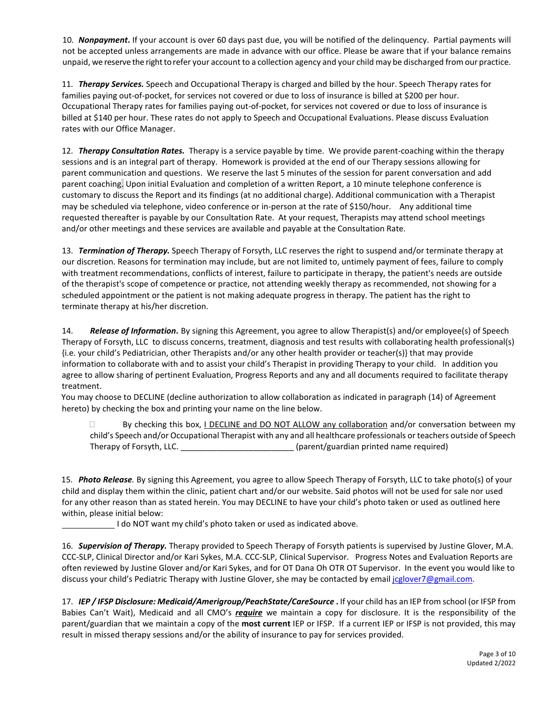10. *Nonpayment***.** If your account is over 60 days past due, you will be notified of the delinquency. Partial payments will not be accepted unless arrangements are made in advance with our office. Please be aware that if your balance remains unpaid, we reserve the right to refer your account to a collection agency and your child may be discharged from our practice.

11. *Therapy Services.* Speech and Occupational Therapy is charged and billed by the hour. Speech Therapy rates for families paying out-of-pocket, for services not covered or due to loss of insurance is billed at \$200 per hour. Occupational Therapy rates for families paying out-of-pocket, for services not covered or due to loss of insurance is billed at \$140 per hour. These rates do not apply to Speech and Occupational Evaluations. Please discuss Evaluation rates with our Office Manager.

12. *Therapy Consultation Rates.* Therapy is a service payable by time. We provide parent-coaching within the therapy sessions and is an integral part of therapy. Homework is provided at the end of our Therapy sessions allowing for parent communication and questions. We reserve the last 5 minutes of the session for parent conversation and add parent coaching. Upon initial Evaluation and completion of a written Report, a 10 minute telephone conference is customary to discuss the Report and its findings (at no additional charge). Additional communication with a Therapist may be scheduled via telephone, video conference or in-person at the rate of \$150/hour. Any additional time requested thereafter is payable by our Consultation Rate. At your request, Therapists may attend school meetings and/or other meetings and these services are available and payable at the Consultation Rate.

13. *Termination of Therapy.* Speech Therapy of Forsyth, LLC reserves the right to suspend and/or terminate therapy at our discretion. Reasons for termination may include, but are not limited to, untimely payment of fees, failure to comply with treatment recommendations, conflicts of interest, failure to participate in therapy, the patient's needs are outside of the therapist's scope of competence or practice, not attending weekly therapy as recommended, not showing for a scheduled appointment or the patient is not making adequate progress in therapy. The patient has the right to terminate therapy at his/her discretion.

14. *Release of Information***.** By signing this Agreement, you agree to allow Therapist(s) and/or employee(s) of Speech Therapy of Forsyth, LLC to discuss concerns, treatment, diagnosis and test results with collaborating health professional(s) {i.e. your child's Pediatrician, other Therapists and/or any other health provider or teacher(s)} that may provide information to collaborate with and to assist your child's Therapist in providing Therapy to your child. In addition you agree to allow sharing of pertinent Evaluation, Progress Reports and any and all documents required to facilitate therapy treatment.

You may choose to DECLINE (decline authorization to allow collaboration as indicated in paragraph (14) of Agreement hereto) by checking the box and printing your name on the line below.

 $\Box$  By checking this box, I DECLINE and DO NOT ALLOW any collaboration and/or conversation between my child's Speech and/or Occupational Therapist with any and all healthcare professionals or teachers outside of Speech Therapy of Forsyth, LLC. \_\_\_\_\_\_\_\_\_\_\_\_\_\_\_\_\_\_\_\_\_\_\_\_\_ (parent/guardian printed name required)

15. *Photo Release.* By signing this Agreement, you agree to allow Speech Therapy of Forsyth, LLC to take photo(s) of your child and display them within the clinic, patient chart and/or our website. Said photos will not be used for sale nor used for any other reason than as stated herein. You may DECLINE to have your child's photo taken or used as outlined here within, please initial below:

I do NOT want my child's photo taken or used as indicated above.

16. *Supervision of Therapy.* Therapy provided to Speech Therapy of Forsyth patients is supervised by Justine Glover, M.A. CCC-SLP, Clinical Director and/or Kari Sykes, M.A. CCC-SLP, Clinical Supervisor. Progress Notes and Evaluation Reports are often reviewed by Justine Glover and/or Kari Sykes, and for OT Dana Oh OTR OT Supervisor. In the event you would like to discuss your child's Pediatric Therapy with Justine Glover, she may be contacted by email jcglover7@gmail.com.

17. *IEP / IFSP Disclosure: Medicaid/Amerigroup/PeachState/CareSource* **.** If your child has an IEP from school (or IFSP from Babies Can't Wait), Medicaid and all CMO's *require* we maintain a copy for disclosure. It is the responsibility of the parent/guardian that we maintain a copy of the **most current** IEP or IFSP. If a current IEP or IFSP is not provided, this may result in missed therapy sessions and/or the ability of insurance to pay for services provided.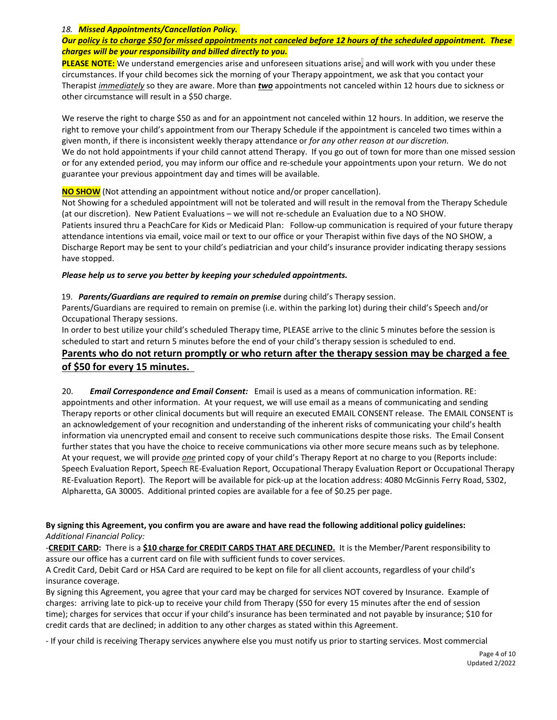#### *18. Missed Appointments/Cancellation Policy.*

### *Our policy is to charge \$50 for missed appointments not canceled before 12 hours of the scheduled appointment. These charges will be your responsibility and billed directly to you.*

**PLEASE NOTE:** We understand emergencies arise and unforeseen situations arise, and will work with you under these circumstances. If your child becomes sick the morning of your Therapy appointment, we ask that you contact your Therapist *immediately* so they are aware. More than *two* appointments not canceled within 12 hours due to sickness or other circumstance will result in a \$50 charge.

We reserve the right to charge \$50 as and for an appointment not canceled within 12 hours. In addition, we reserve the right to remove your child's appointment from our Therapy Schedule if the appointment is canceled two times within a given month, if there is inconsistent weekly therapy attendance or *for any other reason at our discretion.* We do not hold appointments if your child cannot attend Therapy. If you go out of town for more than one missed session or for any extended period, you may inform our office and re-schedule your appointments upon your return. We do not guarantee your previous appointment day and times will be available.

**NO SHOW** (Not attending an appointment without notice and/or proper cancellation).

Not Showing for a scheduled appointment will not be tolerated and will result in the removal from the Therapy Schedule (at our discretion). New Patient Evaluations – we will not re-schedule an Evaluation due to a NO SHOW. Patients insured thru a PeachCare for Kids or Medicaid Plan: Follow-up communication is required of your future therapy attendance intentions via email, voice mail or text to our office or your Therapist within five days of the NO SHOW, a Discharge Report may be sent to your child's pediatrician and your child's insurance provider indicating therapy sessions have stopped.

#### *Please help us to serve you better by keeping your scheduled appointments.*

19. *Parents/Guardians are required to remain on premise* during child's Therapy session.

Parents/Guardians are required to remain on premise (i.e. within the parking lot) during their child's Speech and/or Occupational Therapy sessions.

In order to best utilize your child's scheduled Therapy time, PLEASE arrive to the clinic 5 minutes before the session is scheduled to start and return 5 minutes before the end of your child's therapy session is scheduled to end.

## **Parents who do not return promptly or who return after the therapy session may be charged a fee of \$50 for every 15 minutes.**

20. *Email Correspondence and Email Consent:*Email is used as a means of communication information. RE: appointments and other information. At your request, we will use email as a means of communicating and sending Therapy reports or other clinical documents but will require an executed EMAIL CONSENT release. The EMAIL CONSENT is an acknowledgement of your recognition and understanding of the inherent risks of communicating your child's health information via unencrypted email and consent to receive such communications despite those risks. The Email Consent further states that you have the choice to receive communications via other more secure means such as by telephone. At your request, we will provide *one* printed copy of your child's Therapy Report at no charge to you (Reports include: Speech Evaluation Report, Speech RE-Evaluation Report, Occupational Therapy Evaluation Report or Occupational Therapy RE-Evaluation Report). The Report will be available for pick-up at the location address: 4080 McGinnis Ferry Road, S302, Alpharetta, GA 30005. Additional printed copies are available for a fee of \$0.25 per page.

#### **By signing this Agreement, you confirm you are aware and have read the following additional policy guidelines:**  *Additional Financial Policy:*

-**CREDIT CARD:** There is a **\$10 charge for CREDIT CARDS THAT ARE DECLINED.** It is the Member/Parent responsibility to assure our office has a current card on file with sufficient funds to cover services.

A Credit Card, Debit Card or HSA Card are required to be kept on file for all client accounts, regardless of your child's insurance coverage.

By signing this Agreement, you agree that your card may be charged for services NOT covered by Insurance. Example of charges: arriving late to pick-up to receive your child from Therapy (\$50 for every 15 minutes after the end of session time); charges for services that occur if your child's insurance has been terminated and not payable by insurance; \$10 for credit cards that are declined; in addition to any other charges as stated within this Agreement.

- If your child is receiving Therapy services anywhere else you must notify us prior to starting services. Most commercial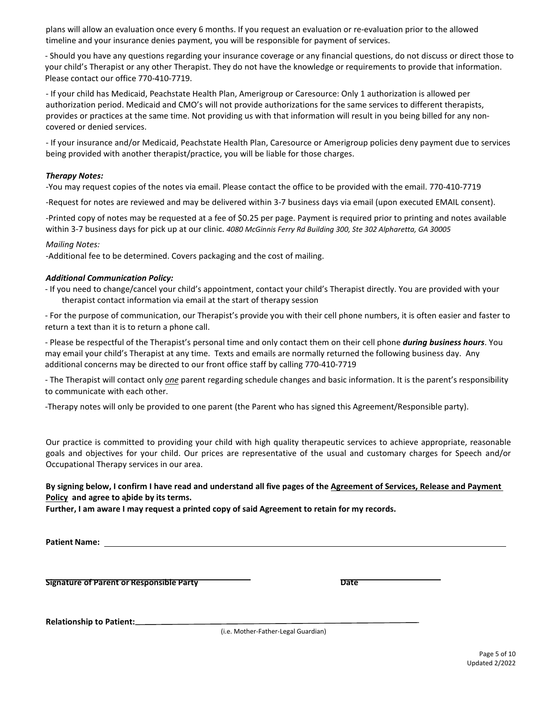plans will allow an evaluation once every 6 months. If you request an evaluation or re-evaluation prior to the allowed timeline and your insurance denies payment, you will be responsible for payment of services.

- Should you have any questions regarding your insurance coverage or any financial questions, do not discuss or direct those to your child's Therapist or any other Therapist. They do not have the knowledge or requirements to provide that information. Please contact our office 770-410-7719.

- If your child has Medicaid, Peachstate Health Plan, Amerigroup or Caresource: Only 1 authorization is allowed per authorization period. Medicaid and CMO's will not provide authorizations for the same services to different therapists, provides or practices at the same time. Not providing us with that information will result in you being billed for any noncovered or denied services.

- If your insurance and/or Medicaid, Peachstate Health Plan, Caresource or Amerigroup policies deny payment due to services being provided with another therapist/practice, you will be liable for those charges.

#### *Therapy Notes:*

-You may request copies of the notes via email. Please contact the office to be provided with the email. 770-410-7719

-Request for notes are reviewed and may be delivered within 3-7 business days via email (upon executed EMAIL consent).

-Printed copy of notes may be requested at a fee of \$0.25 per page. Payment is required prior to printing and notes available within 3-7 business days for pick up at our clinic. *4080 McGinnis Ferry Rd Building 300, Ste 302 Alpharetta, GA 30005*

#### *Mailing Notes:*

-Additional fee to be determined. Covers packaging and the cost of mailing.

#### *Additional Communication Policy:*

- If you need to change/cancel your child's appointment, contact your child's Therapist directly. You are provided with your therapist contact information via email at the start of therapy session
- For the purpose of communication, our Therapist's provide you with their cell phone numbers, it is often easier and faster to return a text than it is to return a phone call.

- Please be respectful of the Therapist's personal time and only contact them on their cell phone *during business hours*. You may email your child's Therapist at any time. Texts and emails are normally returned the following business day. Any additional concerns may be directed to our front office staff by calling 770-410-7719

- The Therapist will contact only *one* parent regarding schedule changes and basic information. It is the parent's responsibility to communicate with each other.

-Therapy notes will only be provided to one parent (the Parent who has signed this Agreement/Responsible party).

Our practice is committed to providing your child with high quality therapeutic services to achieve appropriate, reasonable goals and objectives for your child. Our prices are representative of the usual and customary charges for Speech and/or Occupational Therapy services in our area.

#### **By signing below, I confirm I have read and understand all five pages of the Agreement of Services, Release and Payment Policy and agree to abide by its terms.**

**Further, I am aware I may request a printed copy of said Agreement to retain for my records.**

**Patient Name:** 

**Signature of Parent or Responsible Party Date**

**Relationship to Patient:**

(i.e. Mother-Father-Legal Guardian)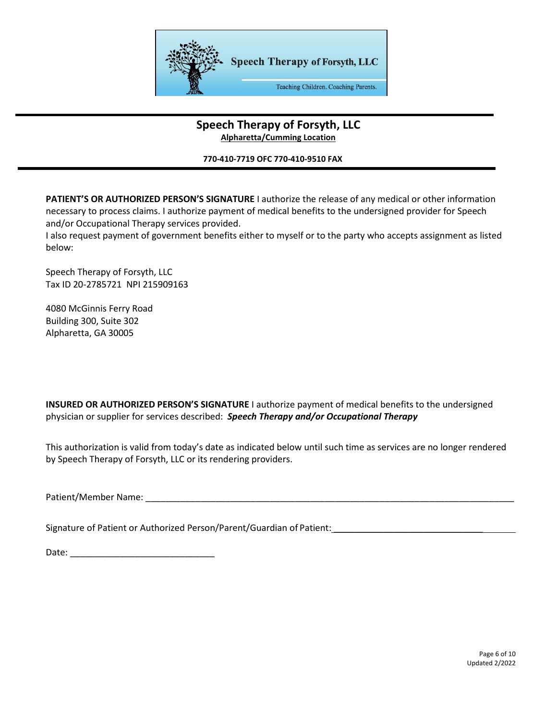

## **Speech Therapy of Forsyth, LLC Alpharetta/Cumming Location**

### **770-410-7719 OFC 770-410-9510 FAX**

**PATIENT'S OR AUTHORIZED PERSON'S SIGNATURE** I authorize the release of any medical or other information necessary to process claims. I authorize payment of medical benefits to the undersigned provider for Speech and/or Occupational Therapy services provided.

I also request payment of government benefits either to myself or to the party who accepts assignment as listed below:

Speech Therapy of Forsyth, LLC Tax ID 20-2785721 NPI 215909163

4080 McGinnis Ferry Road Building 300, Suite 302 Alpharetta, GA 30005

**INSURED OR AUTHORIZED PERSON'S SIGNATURE** I authorize payment of medical benefits to the undersigned physician or supplier for services described: *Speech Therapy and/or Occupational Therapy* 

This authorization is valid from today's date as indicated below until such time as services are no longer rendered by Speech Therapy of Forsyth, LLC or its rendering providers.

Patient/Member Name: \_\_\_\_\_\_\_\_\_\_\_\_\_\_\_\_\_\_\_\_\_\_\_\_\_\_\_\_\_\_\_\_\_\_\_\_\_\_\_\_\_\_\_\_\_\_\_\_\_\_\_\_\_\_\_\_\_\_\_\_\_\_\_\_\_\_\_\_\_\_\_\_\_\_

Signature of Patient or Authorized Person/Parent/Guardian of Patient: \_\_\_\_\_\_\_\_\_\_

Date: \_\_\_\_\_\_\_\_\_\_\_\_\_\_\_\_\_\_\_\_\_\_\_\_\_\_\_\_\_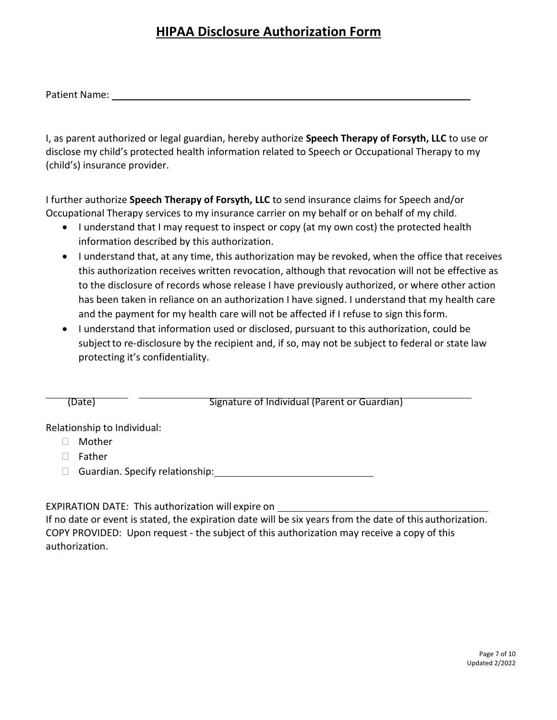## **HIPAA Disclosure Authorization Form**

Patient Name:

I, as parent authorized or legal guardian, hereby authorize **Speech Therapy of Forsyth, LLC** to use or disclose my child's protected health information related to Speech or Occupational Therapy to my (child's) insurance provider.

I further authorize **Speech Therapy of Forsyth, LLC** to send insurance claims for Speech and/or Occupational Therapy services to my insurance carrier on my behalf or on behalf of my child.

- I understand that I may request to inspect or copy (at my own cost) the protected health information described by this authorization.
- I understand that, at any time, this authorization may be revoked, when the office that receives this authorization receives written revocation, although that revocation will not be effective as to the disclosure of records whose release I have previously authorized, or where other action has been taken in reliance on an authorization I have signed. I understand that my health care and the payment for my health care will not be affected if I refuse to sign thisform.
- I understand that information used or disclosed, pursuant to this authorization, could be subject to re-disclosure by the recipient and, if so, may not be subject to federal or state law protecting it's confidentiality.

(Date) Signature of Individual (Parent or Guardian)

Relationship to Individual:

- Mother
- □ Father
- □ Guardian. Specify relationship: Unit of the Suardian. Specify relationship:

EXPIRATION DATE: This authorization will expire on

If no date or event is stated, the expiration date will be six years from the date of this authorization. COPY PROVIDED: Upon request - the subject of this authorization may receive a copy of this authorization.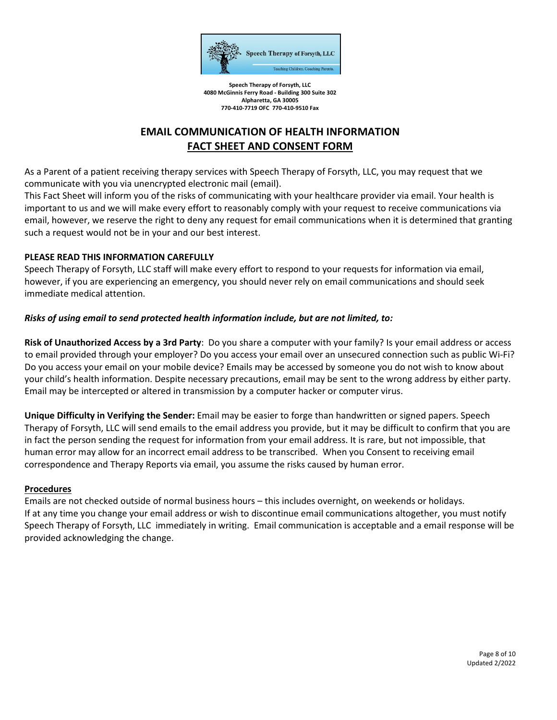

**Speech Therapy of Forsyth, LLC 4080 McGinnis Ferry Road - Building 300 Suite 302 Alpharetta, GA 30005 770-410-7719 OFC 770-410-9510 Fax**

## **EMAIL COMMUNICATION OF HEALTH INFORMATION FACT SHEET AND CONSENT FORM**

As a Parent of a patient receiving therapy services with Speech Therapy of Forsyth, LLC, you may request that we communicate with you via unencrypted electronic mail (email).

This Fact Sheet will inform you of the risks of communicating with your healthcare provider via email. Your health is important to us and we will make every effort to reasonably comply with your request to receive communications via email, however, we reserve the right to deny any request for email communications when it is determined that granting such a request would not be in your and our best interest.

## **PLEASE READ THIS INFORMATION CAREFULLY**

Speech Therapy of Forsyth, LLC staff will make every effort to respond to your requests for information via email, however, if you are experiencing an emergency, you should never rely on email communications and should seek immediate medical attention.

## *Risks of using email to send protected health information include, but are not limited, to:*

**Risk of Unauthorized Access by a 3rd Party**: Do you share a computer with your family? Is your email address or access to email provided through your employer? Do you access your email over an unsecured connection such as public Wi-Fi? Do you access your email on your mobile device? Emails may be accessed by someone you do not wish to know about your child's health information. Despite necessary precautions, email may be sent to the wrong address by either party. Email may be intercepted or altered in transmission by a computer hacker or computer virus.

**Unique Difficulty in Verifying the Sender:** Email may be easier to forge than handwritten or signed papers. Speech Therapy of Forsyth, LLC will send emails to the email address you provide, but it may be difficult to confirm that you are in fact the person sending the request for information from your email address. It is rare, but not impossible, that human error may allow for an incorrect email address to be transcribed. When you Consent to receiving email correspondence and Therapy Reports via email, you assume the risks caused by human error.

## **Procedures**

Emails are not checked outside of normal business hours – this includes overnight, on weekends or holidays. If at any time you change your email address or wish to discontinue email communications altogether, you must notify Speech Therapy of Forsyth, LLC immediately in writing. Email communication is acceptable and a email response will be provided acknowledging the change.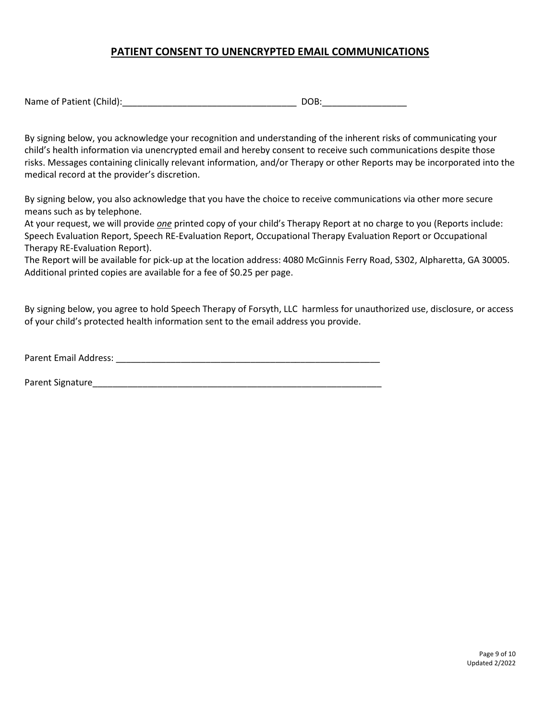## **PATIENT CONSENT TO UNENCRYPTED EMAIL COMMUNICATIONS**

| Name of Patient (Child): |  |
|--------------------------|--|
|--------------------------|--|

By signing below, you acknowledge your recognition and understanding of the inherent risks of communicating your child's health information via unencrypted email and hereby consent to receive such communications despite those risks. Messages containing clinically relevant information, and/or Therapy or other Reports may be incorporated into the medical record at the provider's discretion.

By signing below, you also acknowledge that you have the choice to receive communications via other more secure means such as by telephone.

At your request, we will provide *one* printed copy of your child's Therapy Report at no charge to you (Reports include: Speech Evaluation Report, Speech RE-Evaluation Report, Occupational Therapy Evaluation Report or Occupational Therapy RE-Evaluation Report).

The Report will be available for pick-up at the location address: 4080 McGinnis Ferry Road, S302, Alpharetta, GA 30005. Additional printed copies are available for a fee of \$0.25 per page.

By signing below, you agree to hold Speech Therapy of Forsyth, LLC harmless for unauthorized use, disclosure, or access of your child's protected health information sent to the email address you provide.

Parent Email Address: \_\_\_\_\_\_\_\_\_\_\_\_\_\_\_\_\_\_\_\_\_\_\_\_\_\_\_\_\_\_\_\_\_\_\_\_\_\_\_\_\_\_\_\_\_\_\_\_\_\_\_\_\_

Parent Signature